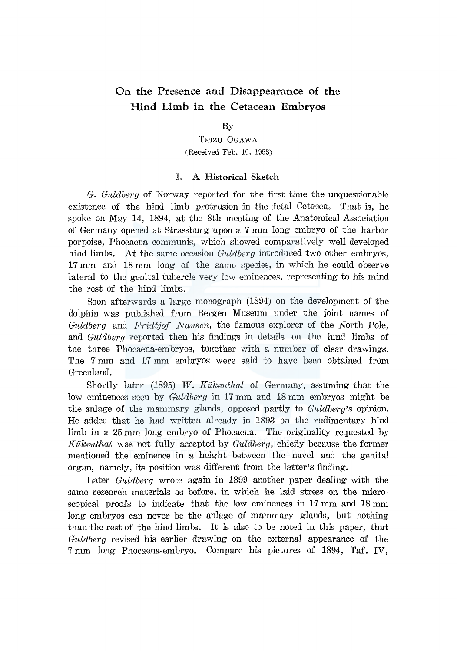# **On the** Presence and Disappearance **of the Hind Limb in the** Cetacean Embryos

### By

TEIZO OGAWA (Received Feb. 10, 1953)

# L A Historical Sketch

*G. Guldberg* of Norway reported for the first time the unquestionable existence of the hind limb protrusion in the fetal Cetacea. That is, he spoke on May 14, 1894, at the 8th meeting of the Anatomical Association of Germany opened at Strassburg upon a 7 mm long embryo of the harbor porpoise, Phocaena communis, which showed comparatively well developed hind limbs. At the same occasion *Guldberg* introduced two other embryos, 17 mm and 18 mm long of the same species, in which he could observe lateral to the genital tubercle very low eminences, representing to his mind the rest of the hind limbs.

Soon afterwards a large monograph (1894) on the development of the dolphin was published from Bergen Museum under the joint names of *Guldberg* and *Fridtjof Nansen,* the famous explorer of the North Pole, and *Guldberg* reported then his findings in details on the hind limbs of the three Phocaena-embryos, together with a number of clear drawings. The 7 mm and 17 mm embryos were said to have been obtained from Greenland.

Shortly later (1895) *W. Kukenthal* of Germany, assuming that the low eminences seen by *Guldberg* in 17 mm and 18 mm embryos might be the anlage of the mammary glands, opposed partly to *Guldberg's* opinion. He added that he had written already in 1893 on the rudimentary hind limb in a 25 mm long embryo of Phocaena. The originality requested by *Kukenthal* was not fully accepted by *Guldberg,* chiefly because the former mentioned the eminence in a height between the navel and the genital organ, namely, its position was different from the latter's finding.

Later *Guldberg* wrote again in 1899 another paper dealing with the same research materials as before, in which he laid stress on the microscopical proofs to indicate that the low eminences in 17 mm and 18 mm long embryos can never be the anlage of mammary glands, but nothing than the rest of the hind limbs. It is also to be noted in this paper, that *Guldberg* revised his earlier drawing on the external appearance of the 7 mm long Phocaena-embryo. Compare his pictures of 1894, Taf. IV,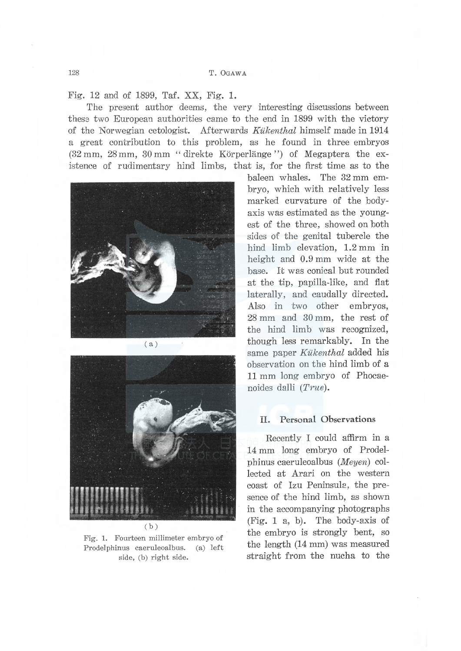128 T. OGAWA

Fig. 12 and of 1899, Taf. XX, Fig. 1.

The present author deems, the very interesting discussions between these two European authorities came to the end in 1899 with the victory of the Norwegian cetologist. Afterwards Kukenthal himself made in 1914 a great contribution to this problem, as he found in three embryos  $(32 \text{ mm}, 28 \text{ mm}, 30 \text{ mm}$  "direkte Körperlänge") of Megaptera the existence of rudimentary hind limbs, that is, for the first time as to the



( b)

Fig. 1. Fourteen millimeter embryo of Prodelphinus caeruleoalbus. (a) left side, (b) right side.

baleen whales. The 32 mm embryo, which with relatively less marked curvature of the bodyaxis was estimated as the youngest of the three, showed on both sides of the genital tubercle the hind limb elevation, 1.2 mm in height and 0.9 mm wide at the base. It was conical but rounded at the tip, papilla-like, and flat laterally, and caudally directed. Also in two other embryos, 28 mm and 30 mm, the rest of the hind limb was recognized, though less remarkably. In the same paper Kükenthal added his observation on the hind limb of a 11 mm long embryo of Phocaenoides dalli  $(True)$ .

### II. Personal Observations

Recently I could affirm in a 14 mm long embryo of Prodelphinus caeruleoalbus (Meyen) collected at Arari on the western coast of Izu Peninsula, the presence of the hind limb, as shown in the accompanying photographs (Fig. 1 a, b). The body-axis of the embryo is strongly bent, so the length (14 mm) was measured straight from the nucha to the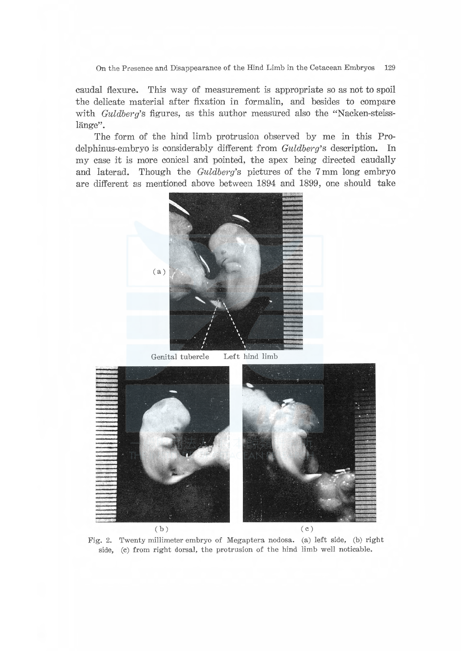On the Presence and Disappearance of the Hind Limb in the Cetacean Embryos 129

caudal flexure. This way of measurement is appropriate so as not to spoil the delicate material after fixation in formalin, and besides to compare with  $Guldberg$ 's figures, as this author measured also the "Nacken-steisslänge".

The form of the hind limb protrusion observed by me in this Prodelphinus-embryo is considerably different from Guldberg's description. In my case it is more conical and pointed, the apex being directed caudally and laterad. Though the  $Guldberg$ 's pictures of the 7 mm long embryo are different as mentioned above between 1894 and 1899, one should take



 $(b)$  (c)

Fig. 2. Twenty millimeter embryo of Megaptera nodosa. (a) left side, (b) right side, (c) from right dorsal, the protrusion of the hind limb well noticable.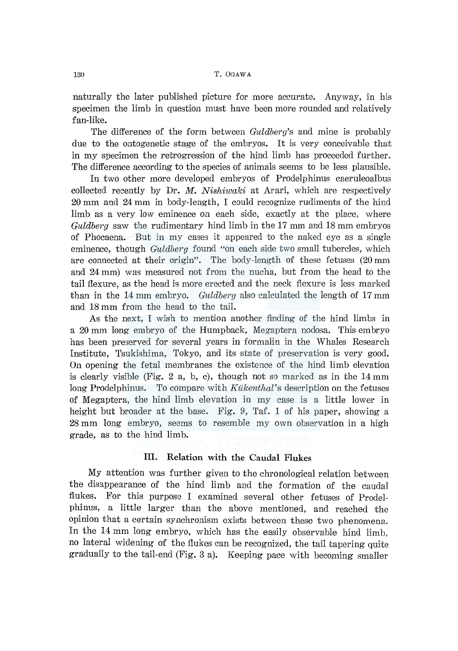naturally the later published picture for more accurate. Anyway, in his specimen the limb in question must have been more rounded and relatively fan-like.

The difference of the form between *Guldberg's* and mine is probably due to the ontogenetic stage of the embryos. It is very conceivable that in my specimen the retrogression of the hind limb has proceeded further. The difference according to the species of animals seems to be less plausible.

In two other more developed embryos of Prodelphinus caeruleoalbus collected recently by Dr. *M. Nishiwaki* at Arari, which are respectively 20 mm and 24 mm in body-length, I could recognize rudiments of the hind limb as a very low eminence on each side, exactly at the place, where *Guldberg* saw the rudimentary hind limb in the 17 mm and 18 mm embryos of Phocaena. But in my cases it appeared to the naked eye as a single eminence, though *Guldberg* found "on each side two small tubercles, which are connected at their origin". The body-length of these fetuses (20 mm and 24 mm) was measured not from the nucha, but from the head to the tail flexure, as the head is more erected and the neck flexure is less marked than in the 14 mm embryo. *Guldberg* also calculated the length of 17 mm and 18 mm from the head to the tail.

As the next, I wish to mention another finding of the hind limbs in a 20 mm long embryo of the Humpback, Megaptera nodosa. This embryo has been preserved for several years in formalin in the Whales Research Institute, Tsukishima, Tokyo, and its state of preservation is very good. On opening the fetal membranes the existence of the hind limb elevation is clearly visible (Fig. 2 a, b, c), though not so marked as in the  $14 \text{ mm}$ long Prodelphinus. To compare with *Kiikenthal's* description on the fetuses of Megaptera, the hind limb elevation in my case is a little lower in height but broader at the base. Fig. 9, Taf. 1 of his paper, showing a 28 mm long embryo, seems to resemble my own observation in a high grade, as to the hind limb.

# III. Relation with the Caudal Flukes

My attention was further given to the chronological relation between the disappearance of the hind limb and the formation of the caudal flukes. For this purpose I examined several other fetuses of Prodelphinus, a little larger than the above mentioned, and reached the opinion that a certain synchronism exists between these two phenomena. In the 14 mm long embryo, which has the easily observable hind limb, no lateral widening of the flukes can be recognized, the tail tapering quite gradually to the tail-end (Fig. 3 a). Keeping pace with becoming smaller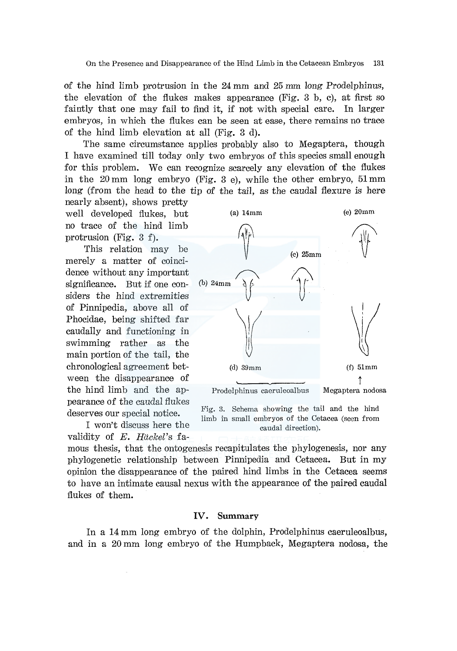of the hind limb protrusion in the 24 mm and 25 mm long Prodelphinus, the elevation of the flukes makes appearance (Fig. 3 b, c), at first so faintly that one may fail to find it, if not with special care. In larger embryos, in which the flukes can be seen at ease, there remains no trace of the hind limb elevation at all (Fig. 3 d).

The same circumstance applies probably also to Megaptera, though I have examined till today only two embryos of this species small enough for this problem. We can recognize scarcely any elevation of the flukes in the 20 mm long embryo (Fig. 3 e), while the other embryo, 51 mm long (from the head to the tip of the tail, as the caudal flexure is here nearly absent), shows pretty

well developed flukes, but no trace of the hind limb protrusion (Fig. 3 f).

This relation may be merely a matter of coincidence without any important significance. But if one considers the hind extremities of Pinnipedia, above all of Phocidae, being shifted far caudally and functioning in swimming rather as the main portion of the tail, the chronological agreement between the disappearance of the hind limb and the appearance of the caudal flukes deserves our special notice.

I won't discuss here the validity of *E. Hackel's* fa-



Fig. 3. Schema showing the tail and the hind limb in small embryos of the Cetacea (seen from caudal direction).

mous thesis, that the ontogenesis recapitulates the phylogenesis, nor any phylogenetic relationship between Pinnipedia and Cetacea. But in my opinion the disappearance of the paired hind limbs in the Cetacea seems to have an intimate causal nexus with the appearance of the paired caudal flukes of them.

# IV. **Summary**

In a 14 mm long embryo of the dolphin, Prodelphinus caeruleoalbus, and in a 20 mm long embryo of the Humpback, Megaptera nodosa, the